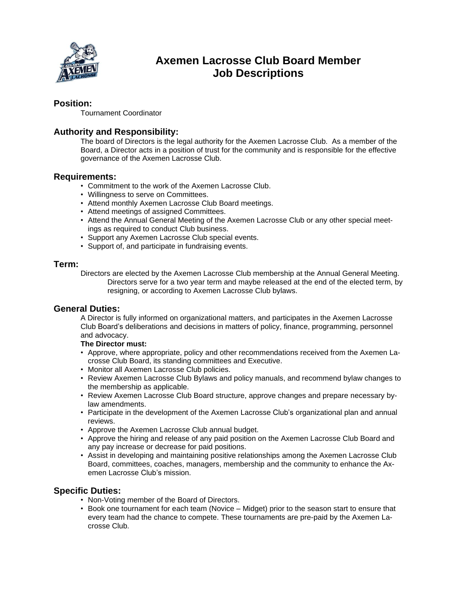

# **Axemen Lacrosse Club Board Member Job Descriptions**

# **Position:**

Tournament Coordinator

# **Authority and Responsibility:**

The board of Directors is the legal authority for the Axemen Lacrosse Club. As a member of the Board, a Director acts in a position of trust for the community and is responsible for the effective governance of the Axemen Lacrosse Club.

### **Requirements:**

- Commitment to the work of the Axemen Lacrosse Club.
- Willingness to serve on Committees.
- Attend monthly Axemen Lacrosse Club Board meetings.
- Attend meetings of assigned Committees.
- Attend the Annual General Meeting of the Axemen Lacrosse Club or any other special meetings as required to conduct Club business.
- Support any Axemen Lacrosse Club special events.
- Support of, and participate in fundraising events.

#### **Term:**

Directors are elected by the Axemen Lacrosse Club membership at the Annual General Meeting. Directors serve for a two year term and maybe released at the end of the elected term, by resigning, or according to Axemen Lacrosse Club bylaws.

#### **General Duties:**

A Director is fully informed on organizational matters, and participates in the Axemen Lacrosse Club Board's deliberations and decisions in matters of policy, finance, programming, personnel and advocacy.

#### **The Director must:**

- Approve, where appropriate, policy and other recommendations received from the Axemen Lacrosse Club Board, its standing committees and Executive.
- Monitor all Axemen Lacrosse Club policies.
- Review Axemen Lacrosse Club Bylaws and policy manuals, and recommend bylaw changes to the membership as applicable.
- Review Axemen Lacrosse Club Board structure, approve changes and prepare necessary bylaw amendments.
- Participate in the development of the Axemen Lacrosse Club's organizational plan and annual reviews.
- Approve the Axemen Lacrosse Club annual budget.
- Approve the hiring and release of any paid position on the Axemen Lacrosse Club Board and any pay increase or decrease for paid positions.
- Assist in developing and maintaining positive relationships among the Axemen Lacrosse Club Board, committees, coaches, managers, membership and the community to enhance the Axemen Lacrosse Club's mission.

# **Specific Duties:**

- Non-Voting member of the Board of Directors.
- Book one tournament for each team (Novice Midget) prior to the season start to ensure that every team had the chance to compete. These tournaments are pre-paid by the Axemen Lacrosse Club.